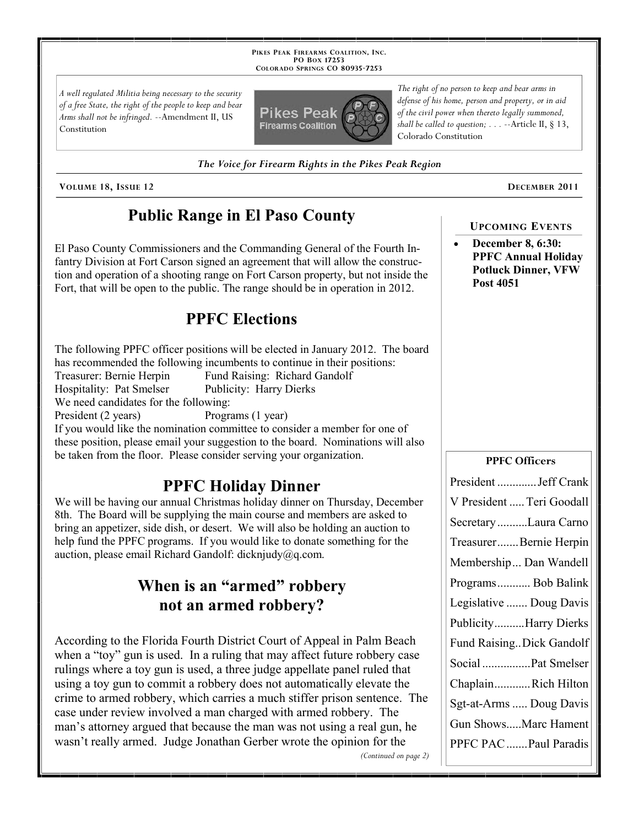**PIKES PEAK FIREARMS COALITION, INC. PO BOX 17253 COLORADO SPRINGS CO 80935 -7253**

*A well regulated Militia being necessary to the security of a free State, the right of the people to keep and bear Arms shall not be infringed.* --Amendment II, US Constitution



*The Voice for Firearm Rights in the Pikes Peak Region*

**VOLUME 18, ISSUE 12 DECEMBER 2011**

## **Public Range in El Paso County**

El Paso County Commissioners and the Commanding General of the Fourth Infantry Division at Fort Carson signed an agreement that will allow the construction and operation of a shooting range on Fort Carson property, but not inside the Fort, that will be open to the public. The range should be in operation in 2012.

## **PPFC Elections**

The following PPFC officer positions will be elected in January 2012. The board has recommended the following incumbents to continue in their positions: Treasurer: Bernie Herpin Fund Raising: Richard Gandolf Hospitality: Pat Smelser Publicity: Harry Dierks We need candidates for the following: President (2 years) Programs (1 year) If you would like the nomination committee to consider a member for one of these position, please email your suggestion to the board. Nominations will also be taken from the floor. Please consider serving your organization.

## **PPFC Holiday Dinner**

We will be having our annual Christmas holiday dinner on Thursday, December 8th. The Board will be supplying the main course and members are asked to bring an appetizer, side dish, or desert. We will also be holding an auction to help fund the PPFC programs. If you would like to donate something for the auction, please email Richard Gandolf: dicknjudy@q.com.

## **When is an "armed" robbery not an armed robbery?**

According to the Florida Fourth District Court of Appeal in Palm Beach when a "toy" gun is used. In a ruling that may affect future robbery case rulings where a toy gun is used, a three judge appellate panel ruled that using a toy gun to commit a robbery does not automatically elevate the crime to armed robbery, which carries a much stiffer prison sentence. The case under review involved a man charged with armed robbery. The man's attorney argued that because the man was not using a real gun, he wasn't really armed. Judge Jonathan Gerber wrote the opinion for the *(Continued on page 2)*

*The right of no person to keep and bear arms in defense of his home, person and property, or in aid of the civil power when thereto legally summoned, shall be called to question; . . .* --Article II, § 13, Colorado Constitution

# **December 8, 6:30:**

**UPCOMING EVENTS**

**PPFC Annual Holiday Potluck Dinner, VFW Post 4051**

#### **PPFC Officers**

| President  Jeff Crank     |
|---------------------------|
| V President  Teri Goodall |
| Secretary Laura Carno     |
| TreasurerBernie Herpin    |
| Membership Dan Wandell    |
| Programs Bob Balink       |
| Legislative  Doug Davis   |
| PublicityHarry Dierks     |
| Fund Raising Dick Gandolf |
| Social  Pat Smelser       |
| ChaplainRich Hilton       |
| Sgt-at-Arms  Doug Davis   |
| Gun ShowsMarc Hament      |
| PPFC PAC  Paul Paradis    |
|                           |